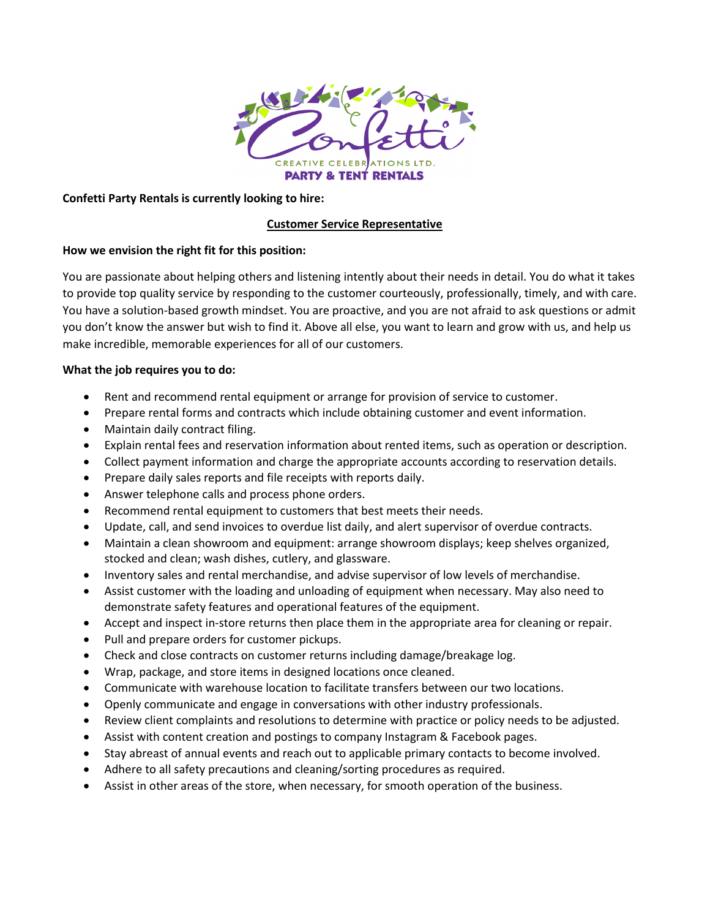

### **Confetti Party Rentals is currently looking to hire:**

#### **Customer Service Representative**

#### **How we envision the right fit for this position:**

You are passionate about helping others and listening intently about their needs in detail. You do what it takes to provide top quality service by responding to the customer courteously, professionally, timely, and with care. You have a solution-based growth mindset. You are proactive, and you are not afraid to ask questions or admit you don't know the answer but wish to find it. Above all else, you want to learn and grow with us, and help us make incredible, memorable experiences for all of our customers.

#### **What the job requires you to do:**

- Rent and recommend rental equipment or arrange for provision of service to customer.
- Prepare rental forms and contracts which include obtaining customer and event information.
- Maintain daily contract filing.
- Explain rental fees and reservation information about rented items, such as operation or description.
- Collect payment information and charge the appropriate accounts according to reservation details.
- Prepare daily sales reports and file receipts with reports daily.
- Answer telephone calls and process phone orders.
- Recommend rental equipment to customers that best meets their needs.
- Update, call, and send invoices to overdue list daily, and alert supervisor of overdue contracts.
- Maintain a clean showroom and equipment: arrange showroom displays; keep shelves organized, stocked and clean; wash dishes, cutlery, and glassware.
- Inventory sales and rental merchandise, and advise supervisor of low levels of merchandise.
- Assist customer with the loading and unloading of equipment when necessary. May also need to demonstrate safety features and operational features of the equipment.
- Accept and inspect in-store returns then place them in the appropriate area for cleaning or repair.
- Pull and prepare orders for customer pickups.
- Check and close contracts on customer returns including damage/breakage log.
- Wrap, package, and store items in designed locations once cleaned.
- Communicate with warehouse location to facilitate transfers between our two locations.
- Openly communicate and engage in conversations with other industry professionals.
- Review client complaints and resolutions to determine with practice or policy needs to be adjusted.
- Assist with content creation and postings to company Instagram & Facebook pages.
- Stay abreast of annual events and reach out to applicable primary contacts to become involved.
- Adhere to all safety precautions and cleaning/sorting procedures as required.
- Assist in other areas of the store, when necessary, for smooth operation of the business.